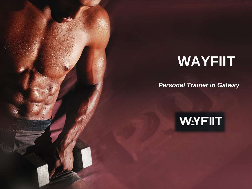# **WAYFIIT**

*Personal Trainer in Galway*

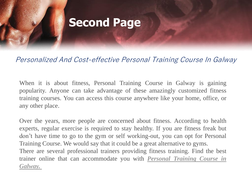## **Second Page**

### Personalized And Cost-effective Personal Training Course In Galway

When it is about fitness, Personal Training Course in Galway is gaining popularity. Anyone can take advantage of these amazingly customized fitness training courses. You can access this course anywhere like your home, office, or any other place.

Over the years, more people are concerned about fitness. According to health experts, regular exercise is required to stay healthy. If you are fitness freak but don't have time to go to the gym or self working-out, you can opt for Personal Training Course. We would say that it could be a great alternative to gyms. There are several professional trainers providing fitness training. Find the best trainer online that can [accommodate](https://wayfiit.com/) you with *Personal Training Course in Galway.*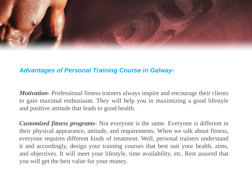

#### *Advantages of Personal Training Course in Galway-*

*Motivation-* Professional fitness trainers always inspire and encourage their clients to gain maximal enthusiasm. They will help you in maximizing a good lifestyle and positive attitude that leads to good health.

*Customized fitness programs-* Not everyone is the same. Everyone is different in their physical appearance, attitude, and requirements. When we talk about fitness, everyone requires different kinds of treatment. Well, personal trainers understand it and accordingly, design your training courses that best suit your health, aims, and objectives. It will meet your lifestyle, time availability, etc. Rest assured that you will get the best value for your money.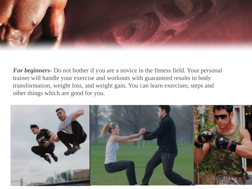

*For beginners-* Do not bother if you are a novice in the fitness field. Your personal trainer will handle your exercise and workouts with guaranteed results in body transformation, weight loss, and weight gain. You can learn exercises, steps and other things which are good for you.

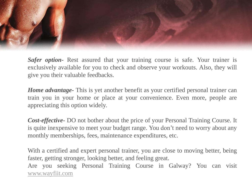

*Safer option*- Rest assured that your training course is safe. Your trainer is exclusively available for you to check and observe your workouts. Also, they will give you their valuable feedbacks.

*Home advantage-* This is yet another benefit as your certified personal trainer can train you in your home or place at your convenience. Even more, people are appreciating this option widely.

*Cost-effective-* DO not bother about the price of your Personal Training Course. It is quite inexpensive to meet your budget range. You don't need to worry about any monthly memberships, fees, maintenance expenditures, etc.

With a certified and expert personal trainer, you are close to moving better, being faster, getting stronger, looking better, and feeling great. Are you seeking Personal Training Course in Galway? You can visit [www.wayfiit.com](http://www.wayfiit.com/)